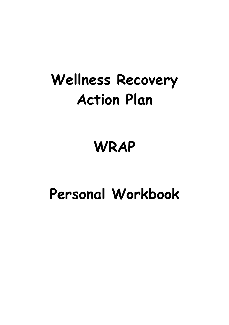## **Wellness Recovery Action Plan**

## **WRAP**

## **Personal Workbook**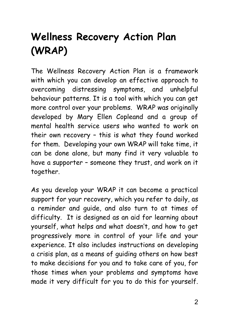### **Wellness Recovery Action Plan (WRAP)**

The Wellness Recovery Action Plan is a framework with which you can develop an effective approach to overcoming distressing symptoms, and unhelpful behaviour patterns. It is a tool with which you can get more control over your problems. WRAP was originally developed by Mary Ellen Copleand and a group of mental health service users who wanted to work on their own recovery – this is what they found worked for them. Developing your own WRAP will take time, it can be done alone, but many find it very valuable to have a supporter – someone they trust, and work on it together.

As you develop your WRAP it can become a practical support for your recovery, which you refer to daily, as a reminder and guide, and also turn to at times of difficulty. It is designed as an aid for learning about yourself, what helps and what doesn't, and how to get progressively more in control of your life and your experience. It also includes instructions on developing a crisis plan, as a means of guiding others on how best to make decisions for you and to take care of you, for those times when your problems and symptoms have made it very difficult for you to do this for yourself.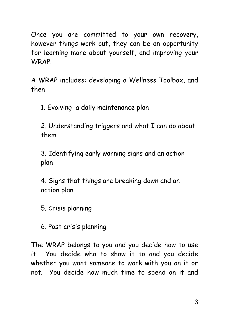Once you are committed to your own recovery, however things work out, they can be an opportunity for learning more about yourself, and improving your WRAP.

A WRAP includes: developing a Wellness Toolbox, and then

1. Evolving a daily maintenance plan

2. Understanding triggers and what I can do about them

3. Identifying early warning signs and an action plan

4. Signs that things are breaking down and an action plan

5. Crisis planning

6. Post crisis planning

The WRAP belongs to you and you decide how to use it. You decide who to show it to and you decide whether you want someone to work with you on it or not. You decide how much time to spend on it and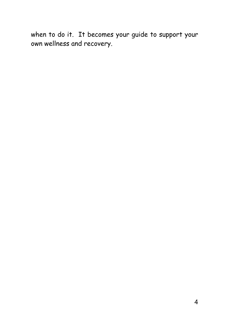when to do it. It becomes your guide to support your own wellness and recovery.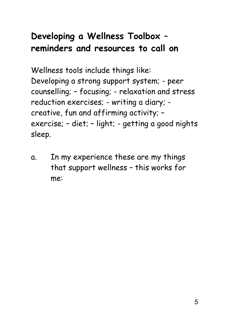### **Developing a Wellness Toolbox – reminders and resources to call on**

Wellness tools include things like: Developing a strong support system; - peer counselling; – focusing; - relaxation and stress reduction exercises; - writing a diary; creative, fun and affirming activity; – exercise; – diet; – light; - getting a good nights sleep.

a. In my experience these are my things that support wellness – this works for me: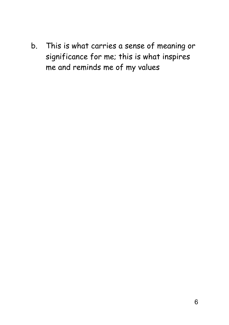b. This is what carries a sense of meaning or significance for me; this is what inspires me and reminds me of my values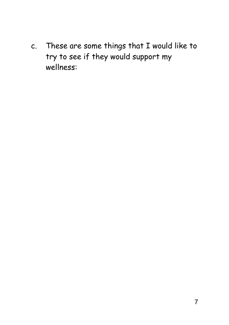c. These are some things that I would like to try to see if they would support my wellness: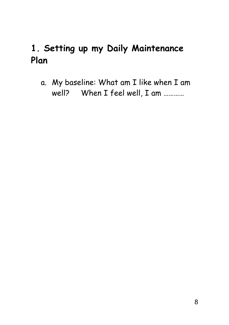### **1. Setting up my Daily Maintenance Plan**

a. My baseline: What am I like when I am well? When I feel well, I am …………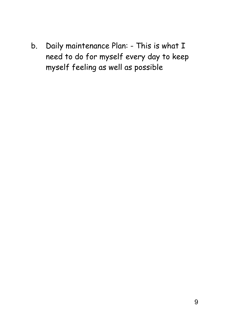b. Daily maintenance Plan: - This is what I need to do for myself every day to keep myself feeling as well as possible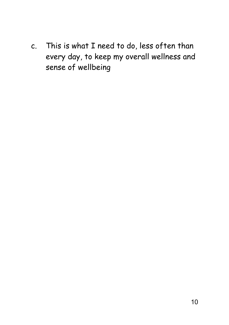c. This is what I need to do, less often than every day, to keep my overall wellness and sense of wellbeing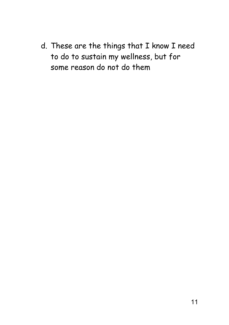d. These are the things that I know I need to do to sustain my wellness, but for some reason do not do them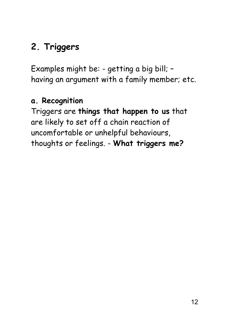### **2. Triggers**

Examples might be: - getting a big bill; – having an argument with a family member; etc.

#### **a. Recognition**

Triggers are **things that happen to us** that are likely to set off a chain reaction of uncomfortable or unhelpful behaviours, thoughts or feelings. - **What triggers me?**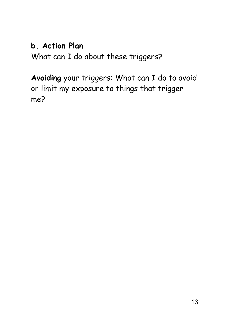#### **b. Action Plan**

What can I do about these triggers?

**Avoiding** your triggers: What can I do to avoid or limit my exposure to things that trigger me?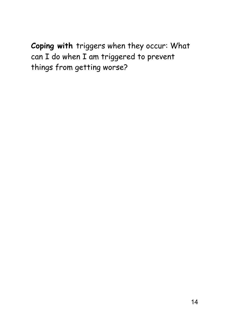**Coping with** triggers when they occur: What can I do when I am triggered to prevent things from getting worse?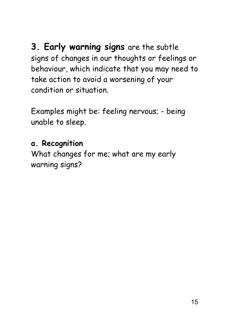**3. Early warning signs** are the subtle signs of changes in our thoughts or feelings or behaviour, which indicate that you may need to take action to avoid a worsening of your condition or situation.

Examples might be: feeling nervous; - being unable to sleep.

#### **a. Recognition**

What changes for me; what are my early warning signs?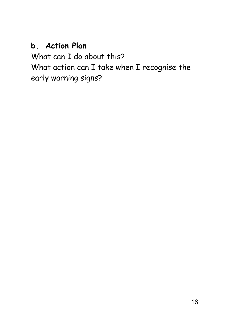#### **b. Action Plan**

What can I do about this? What action can I take when I recognise the early warning signs?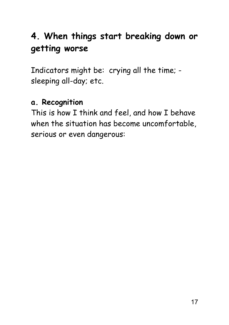### **4. When things start breaking down or getting worse**

Indicators might be: crying all the time; sleeping all-day; etc.

#### **a. Recognition**

This is how I think and feel, and how I behave when the situation has become uncomfortable, serious or even dangerous: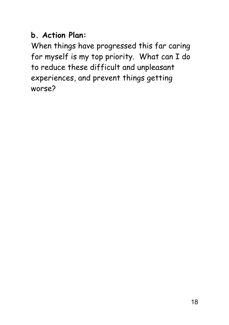#### **b. Action Plan:**

When things have progressed this far caring for myself is my top priority. What can I do to reduce these difficult and unpleasant experiences, and prevent things getting worse?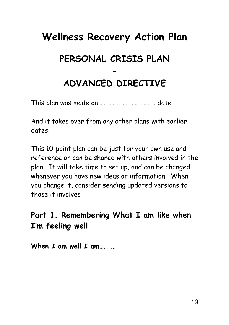### **Wellness Recovery Action Plan PERSONAL CRISIS PLAN - ADVANCED DIRECTIVE**

This plan was made on………………………………… date

And it takes over from any other plans with earlier dates.

This 10-point plan can be just for your own use and reference or can be shared with others involved in the plan. It will take time to set up, and can be changed whenever you have new ideas or information. When you change it, consider sending updated versions to those it involves

#### **Part 1. Remembering What I am like when I'm feeling well**

**When I am well I am**………..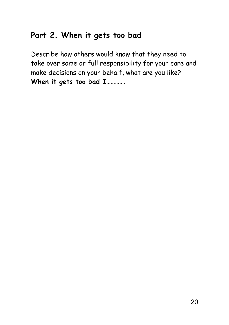#### **Part 2. When it gets too bad**

Describe how others would know that they need to take over some or full responsibility for your care and make decisions on your behalf, what are you like? **When it gets too bad I**………….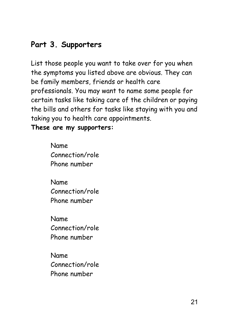#### **Part 3. Supporters**

List those people you want to take over for you when the symptoms you listed above are obvious. They can be family members, friends or health care professionals. You may want to name some people for certain tasks like taking care of the children or paying the bills and others for tasks like staying with you and taking you to health care appointments.

**These are my supporters:**

Name Connection/role Phone number

Name Connection/role Phone number

Name Connection/role Phone number

Name Connection/role Phone number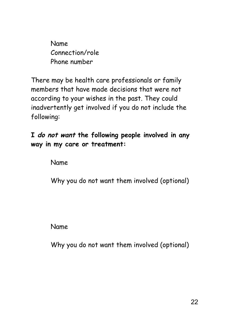Name Connection/role Phone number

There may be health care professionals or family members that have made decisions that were not according to your wishes in the past. They could inadvertently get involved if you do not include the following:

**I do not want the following people involved in any way in my care or treatment:**

Name

Why you do not want them involved (optional)

Name

Why you do not want them involved (optional)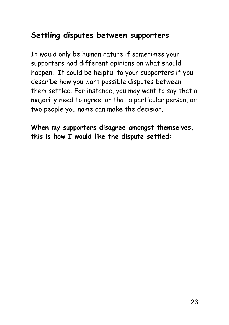#### **Settling disputes between supporters**

It would only be human nature if sometimes your supporters had different opinions on what should happen. It could be helpful to your supporters if you describe how you want possible disputes between them settled. For instance, you may want to say that a majority need to agree, or that a particular person, or two people you name can make the decision.

**When my supporters disagree amongst themselves, this is how I would like the dispute settled:**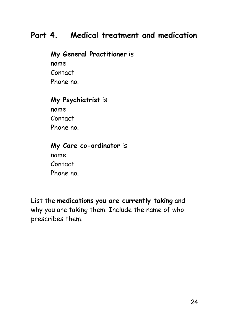#### **Part 4. Medical treatment and medication**

**My General Practitioner** is name Contact Phone no.

#### **My Psychiatrist** is

name Contact Phone no.

#### **My Care co-ordinator** is

name Contact Phone no.

List the **medications you are currently taking** and why you are taking them. Include the name of who prescribes them.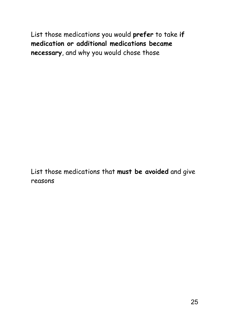List those medications you would **prefer** to take **if medication or additional medications became necessary**, and why you would chose those

List those medications that **must be avoided** and give reasons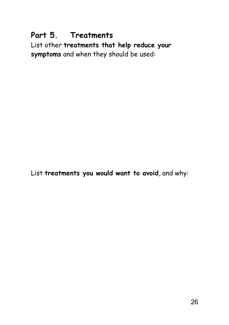#### **Part 5. Treatments**

List other **treatments that help reduce your symptoms** and when they should be used:

List **treatments you would want to avoid**, and why: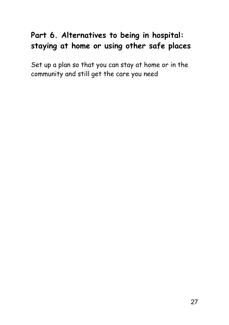#### **Part 6. Alternatives to being in hospital: staying at home or using other safe places**

Set up a plan so that you can stay at home or in the community and still get the care you need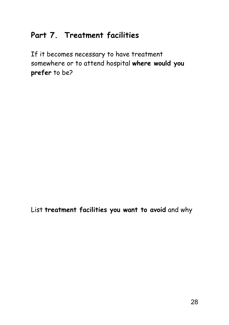#### **Part 7. Treatment facilities**

If it becomes necessary to have treatment somewhere or to attend hospital **where would you prefer** to be?

List **treatment facilities you want to avoid** and why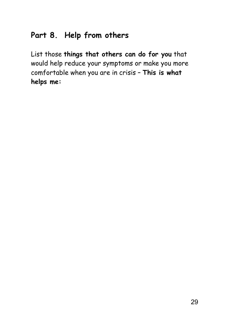#### **Part 8. Help from others**

List those **things that others can do for you** that would help reduce your symptoms or make you more comfortable when you are in crisis – **This is what helps me:**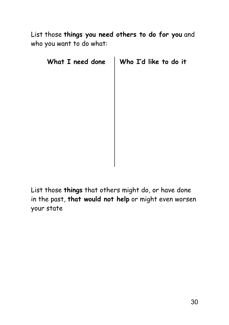List those **things you need others to do for you** and who you want to do what:

| Who I'd like to do it |
|-----------------------|
|                       |
|                       |
|                       |
|                       |
|                       |
|                       |
|                       |
|                       |
|                       |

List those **things** that others might do, or have done in the past, **that would not help** or might even worsen your state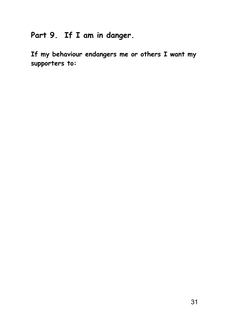### **Part 9. If I am in danger.**

**If my behaviour endangers me or others I want my supporters to:**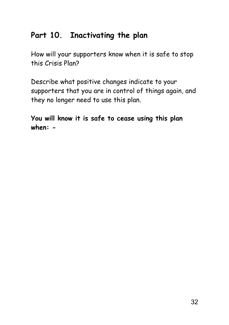#### **Part 10. Inactivating the plan**

How will your supporters know when it is safe to stop this Crisis Plan?

Describe what positive changes indicate to your supporters that you are in control of things again, and they no longer need to use this plan.

**You will know it is safe to cease using this plan when: -**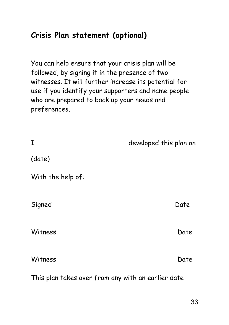#### **Crisis Plan statement (optional)**

You can help ensure that your crisis plan will be followed, by signing it in the presence of two witnesses. It will further increase its potential for use if you identify your supporters and name people who are prepared to back up your needs and preferences.

| I                                                  | developed this plan on |
|----------------------------------------------------|------------------------|
| (date)                                             |                        |
| With the help of:                                  |                        |
| Signed                                             | Date                   |
| Witness                                            | Date                   |
| Witness                                            | Date                   |
| This plan takes over from any with an earlier date |                        |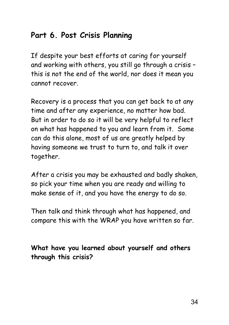#### **Part 6. Post Crisis Planning**

If despite your best efforts at caring for yourself and working with others, you still go through a crisis – this is not the end of the world, nor does it mean you cannot recover.

Recovery is a process that you can get back to at any time and after any experience, no matter how bad. But in order to do so it will be very helpful to reflect on what has happened to you and learn from it. Some can do this alone, most of us are greatly helped by having someone we trust to turn to, and talk it over together.

After a crisis you may be exhausted and badly shaken, so pick your time when you are ready and willing to make sense of it, and you have the energy to do so.

Then talk and think through what has happened, and compare this with the WRAP you have written so far.

**What have you learned about yourself and others through this crisis?**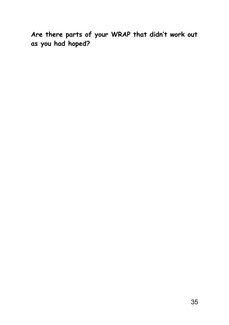**Are there parts of your WRAP that didn't work out as you had hoped?**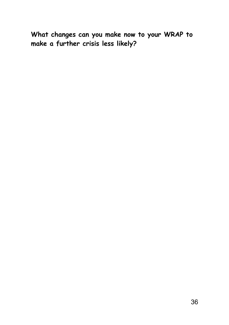**What changes can you make now to your WRAP to make a further crisis less likely?**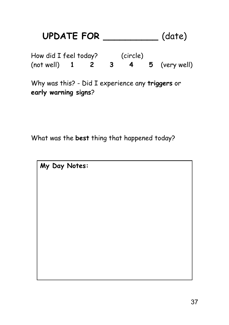### **UPDATE FOR \_\_\_\_\_\_\_\_\_\_** (date) How did I feel today? (circle) (not well) **1 2 3 4 5** (very well) Why was this? - Did I experience any **triggers** or **early warning signs**?

What was the **best** thing that happened today?

**My Day Notes:**

37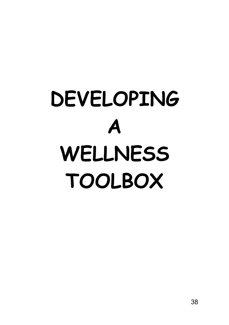# **DEVELOPING A WELLNESS TOOLBOX**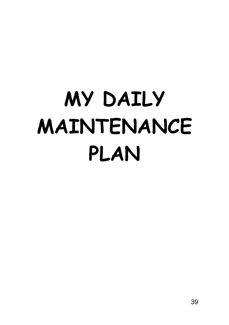# **MY DAILY MAINTENANCE PLAN**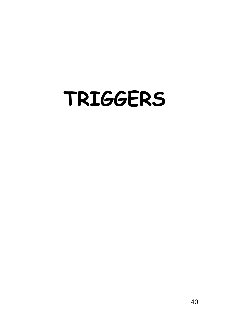## **TRIGGERS**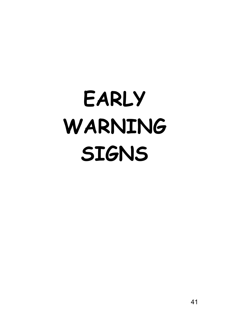# **EARLY WARNING SIGNS**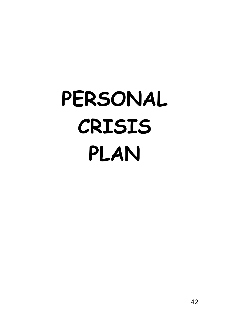# **PERSONAL CRISIS PLAN**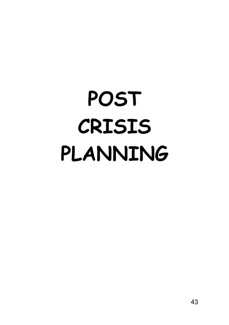# **POST CRISIS PLANNING**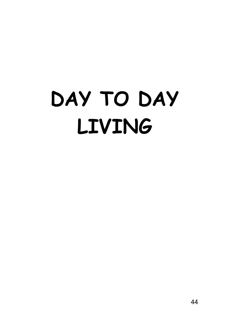# **DAY TO DAY LIVING**